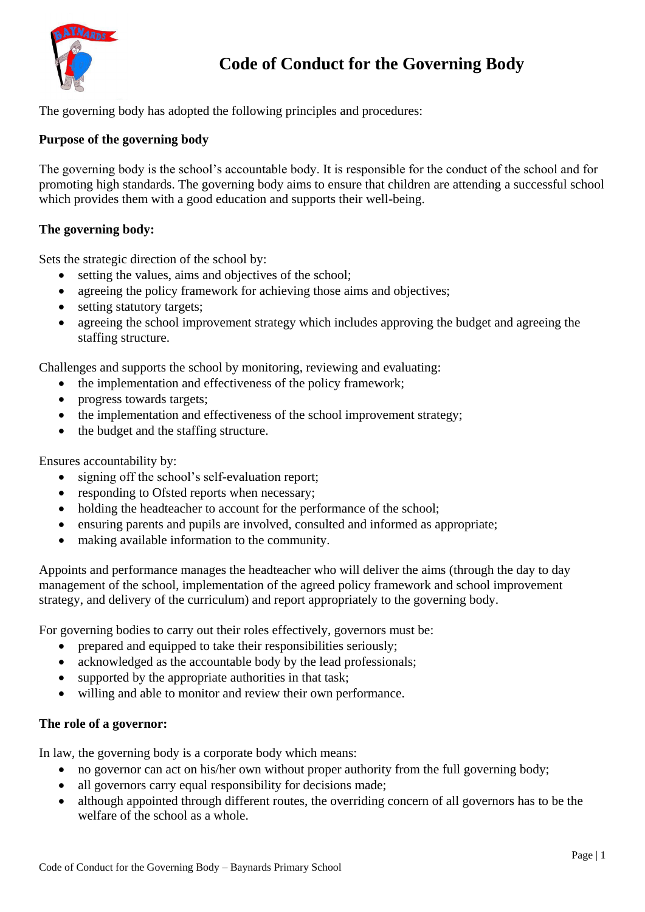

# **Code of Conduct for the Governing Body**

The governing body has adopted the following principles and procedures:

## **Purpose of the governing body**

The governing body is the school's accountable body. It is responsible for the conduct of the school and for promoting high standards. The governing body aims to ensure that children are attending a successful school which provides them with a good education and supports their well-being.

## **The governing body:**

Sets the strategic direction of the school by:

- setting the values, aims and objectives of the school;
- agreeing the policy framework for achieving those aims and objectives:
- setting statutory targets;
- agreeing the school improvement strategy which includes approving the budget and agreeing the staffing structure.

Challenges and supports the school by monitoring, reviewing and evaluating:

- the implementation and effectiveness of the policy framework;
- progress towards targets;
- the implementation and effectiveness of the school improvement strategy;
- the budget and the staffing structure.

Ensures accountability by:

- signing off the school's self-evaluation report;
- responding to Ofsted reports when necessary;
- holding the headteacher to account for the performance of the school;
- ensuring parents and pupils are involved, consulted and informed as appropriate;
- making available information to the community.

Appoints and performance manages the headteacher who will deliver the aims (through the day to day management of the school, implementation of the agreed policy framework and school improvement strategy, and delivery of the curriculum) and report appropriately to the governing body.

For governing bodies to carry out their roles effectively, governors must be:

- prepared and equipped to take their responsibilities seriously;
- acknowledged as the accountable body by the lead professionals;
- supported by the appropriate authorities in that task;
- willing and able to monitor and review their own performance.

#### **The role of a governor:**

In law, the governing body is a corporate body which means:

- no governor can act on his/her own without proper authority from the full governing body;
- all governors carry equal responsibility for decisions made;
- although appointed through different routes, the overriding concern of all governors has to be the welfare of the school as a whole.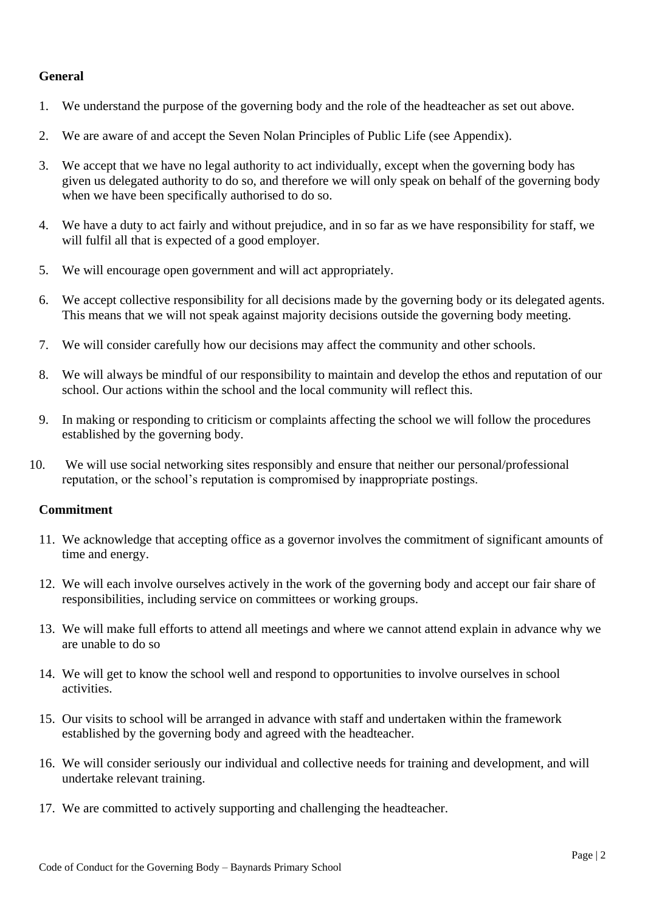# **General**

- 1. We understand the purpose of the governing body and the role of the headteacher as set out above.
- 2. We are aware of and accept the Seven Nolan Principles of Public Life (see Appendix).
- 3. We accept that we have no legal authority to act individually, except when the governing body has given us delegated authority to do so, and therefore we will only speak on behalf of the governing body when we have been specifically authorised to do so.
- 4. We have a duty to act fairly and without prejudice, and in so far as we have responsibility for staff, we will fulfil all that is expected of a good employer.
- 5. We will encourage open government and will act appropriately.
- 6. We accept collective responsibility for all decisions made by the governing body or its delegated agents. This means that we will not speak against majority decisions outside the governing body meeting.
- 7. We will consider carefully how our decisions may affect the community and other schools.
- 8. We will always be mindful of our responsibility to maintain and develop the ethos and reputation of our school. Our actions within the school and the local community will reflect this.
- 9. In making or responding to criticism or complaints affecting the school we will follow the procedures established by the governing body.
- 10. We will use social networking sites responsibly and ensure that neither our personal/professional reputation, or the school's reputation is compromised by inappropriate postings.

#### **Commitment**

- 11. We acknowledge that accepting office as a governor involves the commitment of significant amounts of time and energy.
- 12. We will each involve ourselves actively in the work of the governing body and accept our fair share of responsibilities, including service on committees or working groups.
- 13. We will make full efforts to attend all meetings and where we cannot attend explain in advance why we are unable to do so
- 14. We will get to know the school well and respond to opportunities to involve ourselves in school activities.
- 15. Our visits to school will be arranged in advance with staff and undertaken within the framework established by the governing body and agreed with the headteacher.
- 16. We will consider seriously our individual and collective needs for training and development, and will undertake relevant training.
- 17. We are committed to actively supporting and challenging the headteacher.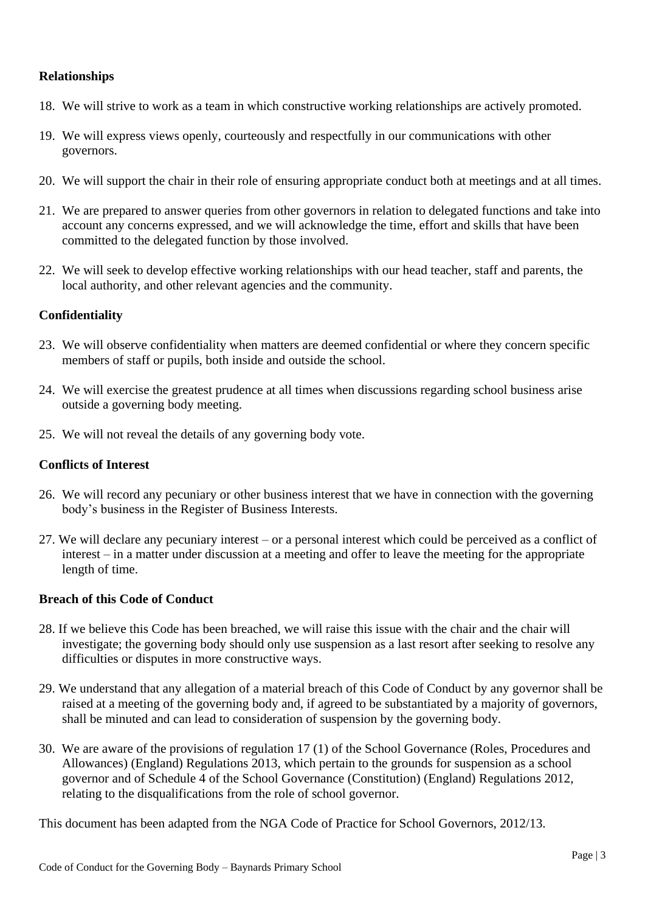# **Relationships**

- 18. We will strive to work as a team in which constructive working relationships are actively promoted.
- 19. We will express views openly, courteously and respectfully in our communications with other governors.
- 20. We will support the chair in their role of ensuring appropriate conduct both at meetings and at all times.
- 21. We are prepared to answer queries from other governors in relation to delegated functions and take into account any concerns expressed, and we will acknowledge the time, effort and skills that have been committed to the delegated function by those involved.
- 22. We will seek to develop effective working relationships with our head teacher, staff and parents, the local authority, and other relevant agencies and the community.

# **Confidentiality**

- 23. We will observe confidentiality when matters are deemed confidential or where they concern specific members of staff or pupils, both inside and outside the school.
- 24. We will exercise the greatest prudence at all times when discussions regarding school business arise outside a governing body meeting.
- 25. We will not reveal the details of any governing body vote.

# **Conflicts of Interest**

- 26. We will record any pecuniary or other business interest that we have in connection with the governing body's business in the Register of Business Interests.
- 27. We will declare any pecuniary interest or a personal interest which could be perceived as a conflict of interest – in a matter under discussion at a meeting and offer to leave the meeting for the appropriate length of time.

# **Breach of this Code of Conduct**

- 28. If we believe this Code has been breached, we will raise this issue with the chair and the chair will investigate; the governing body should only use suspension as a last resort after seeking to resolve any difficulties or disputes in more constructive ways.
- 29. We understand that any allegation of a material breach of this Code of Conduct by any governor shall be raised at a meeting of the governing body and, if agreed to be substantiated by a majority of governors, shall be minuted and can lead to consideration of suspension by the governing body.
- 30. We are aware of the provisions of regulation 17 (1) of the School Governance (Roles, Procedures and Allowances) (England) Regulations 2013, which pertain to the grounds for suspension as a school governor and of Schedule 4 of the School Governance (Constitution) (England) Regulations 2012, relating to the disqualifications from the role of school governor.

This document has been adapted from the NGA Code of Practice for School Governors, 2012/13.